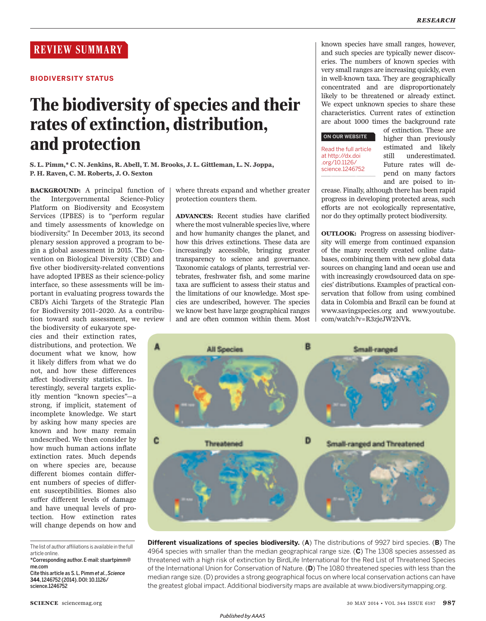## **REVIEW SUMMARY**

### **BIODIVERSITY STATUS**

# The biodiversity of species and their rates of extinction, distribution, and protection

**S. L. Pimm,\* C. N. Jenkins, R. Abell, T. M. Brooks, J. L. Gittleman, L. N. Joppa, P. H. Raven, C. M. Roberts, J. O. Sexton**

**BACKGROUND:** A principal function of the Intergovernmental Science-Policy Platform on Biodiversity and Ecosystem Services (IPBES) is to "perform regular and timely assessments of knowledge on biodiversity." In December 2013, its second plenary session approved a program to begin a global assessment in 2015. The Convention on Biological Diversity (CBD) and five other biodiversity-related conventions have adopted IPBES as their science-policy interface, so these assessments will be important in evaluating progress towards the CBD's Aichi Targets of the Strategic Plan for Biodiversity 2011–2020. As a contribution toward such assessment, we review

the biodiversity of eukaryote species and their extinction rates, distributions, and protection. We document what we know, how it likely differs from what we do not, and how these differences affect biodiversity statistics. Interestingly, several targets explicitly mention "known species"—a strong, if implicit, statement of incomplete knowledge. We start by asking how many species are known and how many remain undescribed. We then consider by how much human actions inflate extinction rates. Much depends on where species are, because different biomes contain different numbers of species of different susceptibilities. Biomes also suffer different levels of damage and have unequal levels of protection. How extinction rates will change depends on how and

where threats expand and whether greater protection counters them.

**ADVANCES:** Recent studies have clarified where the most vulnerable species live, where and how humanity changes the planet, and how this drives extinctions. These data are increasingly accessible, bringing greater transparency to science and governance. Taxonomic catalogs of plants, terrestrial vertebrates, freshwater fish, and some marine taxa are sufficient to assess their status and the limitations of our knowledge. Most species are undescribed, however. The species we know best have large geographical ranges and are often common within them. Most known species have small ranges, however, and such species are typically newer discoveries. The numbers of known species with very small ranges are increasing quickly, even in well-known taxa. They are geographically concentrated and are disproportionately likely to be threatened or already extinct. We expect unknown species to share these characteristics. Current rates of extinction are about 1000 times the background rate

| ON OUR WEBSITE |
|----------------|
|----------------|

| Read the full article |
|-----------------------|
| at http://dx.doi      |
| .org/10.1126/         |
| science.1246752       |
|                       |

of extinction. These are higher than previously estimated and likely still underestimated. Future rates will depend on many factors and are poised to in-

crease. Finally, although there has been rapid progress in developing protected areas, such efforts are not ecologically representative, nor do they optimally protect biodiversity.

**OUTLOOK:** Progress on assessing biodiversity will emerge from continued expansion of the many recently created online databases, combining them with new global data sources on changing land and ocean use and with increasingly crowdsourced data on species' distributions. Examples of practical conservation that follow from using combined data in Colombia and Brazil can be found at www.savingspecies.org and www.youtube. com/watch?v=R3zjeJW2NVk.



**Different visualizations of species biodiversity.** (**A**) The distributions of 9927 bird species. (**B**) The 4964 species with smaller than the median geographical range size. (**C**) The 1308 species assessed as threatened with a high risk of extinction by BirdLife International for the Red List of Threatened Species of the International Union for Conservation of Nature. (**D**) The 1080 threatened species with less than the median range size. (D) provides a strong geographical focus on where local conservation actions can have the greatest global impact. Additional biodiversity maps are available at www.biodiversitymapping.org.

The list of author affiliations is available in the full article online.

<sup>\*</sup>Corresponding author. E-mail: stuartpimm@ me.com

Cite this article as S. L. Pimm *et al.*, *Science* **344**, 1246752 (2014). DOI: 10.1126/ science.1246752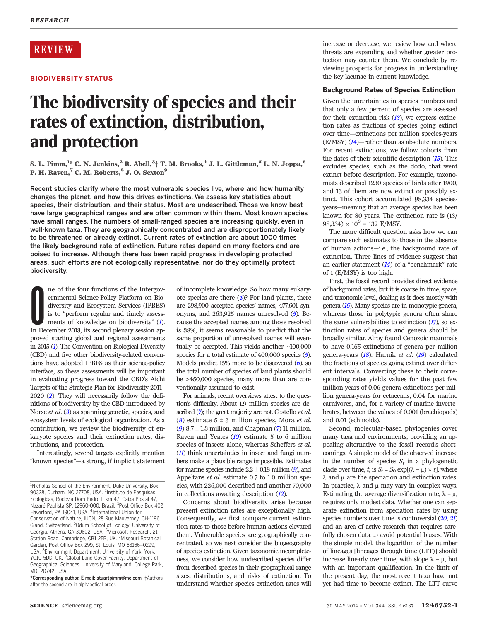## **REVIEW**

## BIODIVERSITY STATUS

# The biodiversity of species and their rates of extinction, distribution, and protection

S. L. Pimm, $^{1\ast}$  C. N. Jenkins, $^2$  R. Abell, $^3\!+\!$  T. M. Brooks, $^4$  J. L. Gittleman, $^5$  L. N. Joppa, $^6$ P. H. Raven,<sup>7</sup> C. M. Roberts,<sup>8</sup> J. O. Sexton<sup>9</sup>

Recent studies clarify where the most vulnerable species live, where and how humanity changes the planet, and how this drives extinctions. We assess key statistics about species, their distribution, and their status. Most are undescribed. Those we know best have large geographical ranges and are often common within them. Most known species have small ranges. The numbers of small-ranged species are increasing quickly, even in well-known taxa. They are geographically concentrated and are disproportionately likely to be threatened or already extinct. Current rates of extinction are about 1000 times the likely background rate of extinction. Future rates depend on many factors and are poised to increase. Although there has been rapid progress in developing protected areas, such efforts are not ecologically representative, nor do they optimally protect biodiversity.

ne of the four functions of the Intergovernmental Science-Policy Platform on Biodiversity and Ecosystem Services (IPBES) is to "perform regular and timely assessments of knowledge on biodiversity" (1). In December 2013, it ne of the four functions of the Intergovernmental Science-Policy Platform on Biodiversity and Ecosystem Services (IPBES) is to "perform regular and timely assessments of knowledge on biodiversity" ([1](#page-8-0)). proved starting global and regional assessments in 2015 ([1](#page-8-0)). The Convention on Biological Diversity (CBD) and five other biodiversity-related conventions have adopted IPBES as their science-policy interface, so these assessments will be important in evaluating progress toward the CBD's Aichi Targets of the Strategic Plan for Biodiversity 2011– 2020 ([2](#page-8-0)). They will necessarily follow the definitions of biodiversity by the CBD introduced by Norse et al. ([3](#page-8-0)) as spanning genetic, species, and ecosystem levels of ecological organization. As a contribution, we review the biodiversity of eukaryote species and their extinction rates, distributions, and protection.

Interestingly, several targets explicitly mention "known species"—a strong, if implicit statement

of incomplete knowledge. So how many eukaryote species are there  $(4)$  $(4)$  $(4)$ ? For land plants, there are 298,900 accepted species' names, 477,601 synonyms, and  $263,925$  $263,925$  names unresolved  $(5)$ . Because the accepted names among those resolved is 38%, it seems reasonable to predict that the same proportion of unresolved names will eventually be accepted. This yields another ~100,000 species for a total estimate of 400,000 species ([5](#page-8-0)). Models predict 15% more to be discovered  $(6)$  $(6)$  $(6)$ , so the total number of species of land plants should be >450,000 species, many more than are conventionally assumed to exist.

For animals, recent overviews attest to the question's difficulty. About 1.9 million species are de-scribed ([7](#page-8-0)); the great majority are not. Costello *et al.* ([8](#page-8-0)) estimate  $5 \pm 3$  million species, Mora *et al.*  $(9)$  $(9)$  $(9)$  8.[7](#page-8-0)  $\pm$  1.3 million, and Chapman (7) 11 million. Raven and Yeates  $(10)$  $(10)$  $(10)$  estimate 5 to 6 million species of insects alone, whereas Scheffers et al. ([11](#page-8-0)) think uncertainties in insect and fungi numbers make a plausible range impossible. Estimates for marine species include  $2.2 \pm 0.18$  million ([9](#page-8-0)), and Appeltans et al. estimate 0.7 to 1.0 million species, with 226,000 described and another 70,000 in collections awaiting description ([12](#page-8-0)).

Concerns about biodiversity arise because present extinction rates are exceptionally high. Consequently, we first compare current extinction rates to those before human actions elevated them. Vulnerable species are geographically concentrated, so we next consider the biogeography of species extinction. Given taxonomic incompleteness, we consider how undescribed species differ from described species in their geographical range sizes, distributions, and risks of extinction. To understand whether species extinction rates will

increase or decrease, we review how and where threats are expanding and whether greater protection may counter them. We conclude by reviewing prospects for progress in understanding the key lacunae in current knowledge.

## Background Rates of Species Extinction

Given the uncertainties in species numbers and that only a few percent of species are assessed for their extinction risk  $(13)$  $(13)$  $(13)$ , we express extinction rates as fractions of species going extinct over time—extinctions per million species-years (E/MSY) ([14](#page-8-0))—rather than as absolute numbers. For recent extinctions, we follow cohorts from the dates of their scientific description  $(15)$  $(15)$  $(15)$ . This excludes species, such as the dodo, that went extinct before description. For example, taxonomists described 1230 species of birds after 1900, and 13 of them are now extinct or possibly extinct. This cohort accumulated 98,334 speciesyears—meaning that an average species has been known for 80 years. The extinction rate is (13/  $98,334$ ) ×  $10^6$  = 132 E/MSY.

The more difficult question asks how we can compare such estimates to those in the absence of human actions—i.e., the background rate of extinction. Three lines of evidence suggest that an earlier statement  $(14)$  $(14)$  $(14)$  of a "benchmark" rate of 1 (E/MSY) is too high.

First, the fossil record provides direct evidence of background rates, but it is coarse in time, space, and taxonomic level, dealing as it does mostly with genera ([16](#page-8-0)). Many species are in monotypic genera, whereas those in polytypic genera often share the same vulnerabilities to extinction ([17](#page-8-0)), so extinction rates of species and genera should be broadly similar. Alroy found Cenozoic mammals to have 0.165 extinctions of genera per million genera-years ([18](#page-8-0)). Harnik et al. ([19](#page-8-0)) calculated the fractions of species going extinct over different intervals. Converting these to their corresponding rates yields values for the past few million years of 0.06 genera extinctions per million genera-years for cetaceans, 0.04 for marine carnivores, and, for a variety of marine invertebrates, between the values of 0.001 (brachiopods) and 0.01 (echinoids).

Second, molecular-based phylogenies cover many taxa and environments, providing an appealing alternative to the fossil record's shortcomings. A simple model of the observed increase in the number of species  $S_t$  in a phylogenetic clade over time, t, is  $S_t = S_0 \exp[(\lambda - \mu) \times t]$ , where  $\lambda$  and  $\mu$  are the speciation and extinction rates. In practice,  $\lambda$  and  $\mu$  may vary in complex ways. Estimating the average diversification rate,  $\lambda - \mu$ , requires only modest data. Whether one can separate extinction from speciation rates by using species numbers over time is controversial ([20](#page-8-0), [21](#page-9-0)) and an area of active research that requires carefully chosen data to avoid potential biases. With the simple model, the logarithm of the number of lineages [lineages through time (LTT)] should increase linearly over time, with slope  $\lambda - \mu$ , but with an important qualification. In the limit of the present day, the most recent taxa have not yet had time to become extinct. The LTT curve

<sup>&</sup>lt;sup>1</sup>Nicholas School of the Environment, Duke University, Box 90328, Durham, NC 27708, USA. <sup>2</sup>Instituto de Pesquisas Ecológicas, Rodovia Dom Pedro I, km 47, Caixa Postal 47, Nazaré Paulista SP, 12960-000, Brazil. <sup>3</sup>Post Office Box 402 Haverford, PA 19041, USA. <sup>4</sup>International Union for Conservation of Nature, IUCN, 28 Rue Mauverney, CH-1196 Gland, Switzerland. <sup>5</sup>Odum School of Ecology, University of Georgia, Athens, GA 30602, USA. <sup>6</sup>Microsoft Research, 21 Station Road, Cambridge, CB1 2FB, UK. <sup>7</sup>Missouri Botanical Garden, Post Office Box 299, St. Louis, MO 63166–0299, USA. <sup>8</sup> Environment Department, University of York, York, YO10 5DD, UK. <sup>9</sup>Global Land Cover Facility, Department of Geographical Sciences, University of Maryland, College Park, MD, 20742, USA.

<sup>\*</sup>Corresponding author. E-mail: stuartpimm@me.com †Authors after the second are in alphabetical order.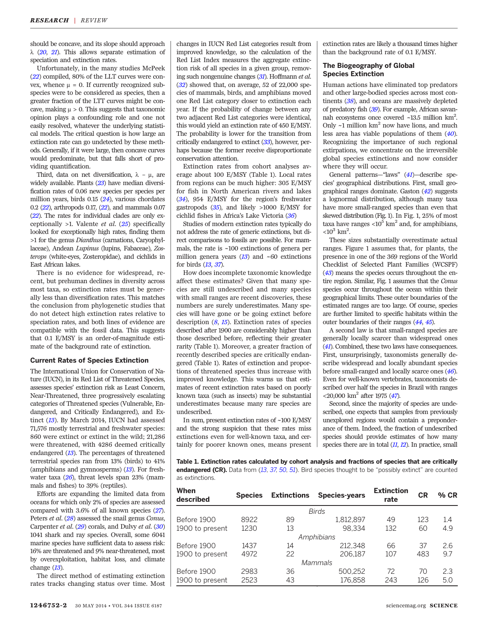should be concave, and its slope should approach  $\lambda$  ([20](#page-8-0), [21](#page-9-0)). This allows separate estimation of speciation and extinction rates.

Unfortunately, in the many studies McPeek ([22](#page-9-0)) compiled, 80% of the LLT curves were convex, whence  $\mu = 0$ . If currently recognized subspecies were to be considered as species, then a greater fraction of the LTT curves might be concave, making  $\mu > 0$ . This suggests that taxonomic opinion plays a confounding role and one not easily resolved, whatever the underlying statistical models. The critical question is how large an extinction rate can go undetected by these methods. Generally, if it were large, then concave curves would predominate, but that falls short of providing quantification.

Third, data on net diversification,  $\lambda$  –  $\mu$ , are widely available. Plants ([23](#page-9-0)) have median diversification rates of 0.06 new species per species per million years, birds 0.15 ([24](#page-9-0)), various chordates 0.2 ([22](#page-9-0)), arthropods 0.17, ([22](#page-9-0)), and mammals 0.07 ([22](#page-9-0)). The rates for individual clades are only exceptionally  $>1$ . Valente *et al.* ([25](#page-9-0)) specifically looked for exceptionally high rates, finding them >1 for the genus Dianthus (carnations, Caryophyllaceae), Andean Lupinus (lupins, Fabaceae), Zosterops (white-eyes, Zosteropidae), and cichlids in East African lakes.

There is no evidence for widespread, recent, but prehuman declines in diversity across most taxa, so extinction rates must be generally less than diversification rates. This matches the conclusion from phylogenetic studies that do not detect high extinction rates relative to speciation rates, and both lines of evidence are compatible with the fossil data. This suggests that 0.1 E/MSY is an order-of-magnitude estimate of the background rate of extinction.

## Current Rates of Species Extinction

The International Union for Conservation of Nature (IUCN), in its Red List of Threatened Species, assesses species' extinction risk as Least Concern, Near-Threatened, three progressively escalating categories of Threatened species (Vulnerable, Endangered, and Critically Endangered), and Extinct  $(13)$  $(13)$  $(13)$ . By March 2014, IUCN had assessed 71,576 mostly terrestrial and freshwater species: 860 were extinct or extinct in the wild; 21,286 were threatened, with 4286 deemed critically endangered  $(13)$  $(13)$  $(13)$ . The percentages of threatened terrestrial species ran from 13% (birds) to 41% (amphibians and gymnosperms)  $(13)$  $(13)$  $(13)$ . For freshwater taxa  $(26)$  $(26)$  $(26)$ , threat levels span 23% (mammals and fishes) to 39% (reptiles).

Efforts are expanding the limited data from oceans for which only 2% of species are assessed compared with 3.6% of all known species ([27](#page-9-0)). Peters et al. ([28](#page-9-0)) assessed the snail genus Conus, Carpenter et al. ([29](#page-9-0)) corals, and Dulvy et al. ([30](#page-9-0)) 1041 shark and ray species. Overall, some 6041 marine species have sufficient data to assess risk: 16% are threatened and 9% near-threatened, most by overexploitation, habitat loss, and climate  $change(13)$  $change(13)$  $change(13)$ .

The direct method of estimating extinction rates tracks changing status over time. Most

changes in IUCN Red List categories result from improved knowledge, so the calculation of the Red List Index measures the aggregate extinction risk of all species in a given group, removing such nongenuine changes ([31](#page-9-0)). Hoffmann et al.  $(32)$  $(32)$  $(32)$  showed that, on average, 52 of 22,000 species of mammals, birds, and amphibians moved one Red List category closer to extinction each year. If the probability of change between any two adjacent Red List categories were identical, this would yield an extinction rate of 450 E/MSY. The probability is lower for the transition from critically endangered to extinct ([33](#page-9-0)), however, perhaps because the former receive disproportionate conservation attention.

Extinction rates from cohort analyses average about 100 E/MSY (Table 1). Local rates from regions can be much higher: 305 E/MSY for fish in North American rivers and lakes ([34](#page-9-0)), 954 E/MSY for the region's freshwater gastropods  $(35)$  $(35)$  $(35)$ , and likely >1000 E/MSY for cichlid fishes in Africa's Lake Victoria ([36](#page-9-0))

Studies of modern extinction rates typically do not address the rate of generic extinctions, but direct comparisons to fossils are possible. For mammals, the rate is ~100 extinctions of genera per million genera years  $(13)$  $(13)$  $(13)$  and ~60 extinctions for birds ([13](#page-8-0), [37](#page-9-0)).

How does incomplete taxonomic knowledge affect these estimates? Given that many species are still undescribed and many species with small ranges are recent discoveries, these numbers are surely underestimates. Many species will have gone or be going extinct before description  $(8, 15)$  $(8, 15)$  $(8, 15)$  $(8, 15)$  $(8, 15)$ . Extinction rates of species described after 1900 are considerably higher than those described before, reflecting their greater rarity (Table 1). Moreover, a greater fraction of recently described species are critically endangered (Table 1). Rates of extinction and proportions of threatened species thus increase with improved knowledge. This warns us that estimates of recent extinction rates based on poorly known taxa (such as insects) may be substantial underestimates because many rare species are undescribed.

In sum, present extinction rates of ~100 E/MSY and the strong suspicion that these rates miss extinctions even for well-known taxa, and certainly for poorer known ones, means present extinction rates are likely a thousand times higher than the background rate of 0.1 E/MSY.

## The Biogeography of Global Species Extinction

Human actions have eliminated top predators and other large-bodied species across most continents ([38](#page-9-0)), and oceans are massively depleted of predatory fish ([39](#page-9-0)). For example, African savannah ecosystems once covered ~13.5 million km2 . Only  $~1$  million  $~km<sup>2</sup>$  now have lions, and much less area has viable populations of them ([40](#page-9-0)). Recognizing the importance of such regional extirpations, we concentrate on the irreversible global species extinctions and now consider where they will occur.

General patterns—"laws" ([41](#page-9-0))—describe species' geographical distributions. First, small geographical ranges dominate. Gaston ([42](#page-9-0)) suggests a lognormal distribution, although many taxa have more small-ranged species than even that skewed distribution (Fig. 1). In Fig. 1, 25% of most taxa have ranges  $\langle 10^5 \text{ km}^2 \text{ and}$ , for amphibians,  $< 10^3$  km<sup>2</sup>.

These sizes substantially overestimate actual ranges. Figure 1 assumes that, for plants, the presence in one of the 369 regions of the World Checklist of Selected Plant Families (WCSPF) ([43](#page-9-0)) means the species occurs throughout the entire region. Similar, Fig. 1 assumes that the Conus species occur throughout the ocean within their geographical limits. These outer boundaries of the estimated ranges are too large. Of course, species are further limited to specific habitats within the outer boundaries of their ranges ([44](#page-9-0), [45](#page-9-0)).

A second law is that small-ranged species are generally locally scarcer than widespread ones ([41](#page-9-0)). Combined, these two laws have consequences. First, unsurprisingly, taxonomists generally describe widespread and locally abundant species before small-ranged and locally scarce ones ([46](#page-9-0)). Even for well-known vertebrates, taxonomists described over half the species in Brazil with ranges  $\langle 20.000 \text{ km}^2 \text{ after } 1975 \text{ (47)}.$  $\langle 20.000 \text{ km}^2 \text{ after } 1975 \text{ (47)}.$  $\langle 20.000 \text{ km}^2 \text{ after } 1975 \text{ (47)}.$ 

Second, since the majority of species are undescribed, one expects that samples from previously unexplored regions would contain a preponderance of them. Indeed, the fraction of undescribed species should provide estimates of how many species there are in total  $(11, 12)$  $(11, 12)$  $(11, 12)$  $(11, 12)$  $(11, 12)$ . In practice, small

Table 1. Extinction rates calculated by cohort analysis and fractions of species that are critically endangered (CR). Data from ([13](#page-8-0), [37](#page-9-0), [50](#page-9-0), [51](#page-9-0)). Bird species thought to be "possibly extinct" are counted as extinctions.

| When<br>described | <b>Species</b> | <b>Extinctions</b> | <b>Species-years</b> | <b>Extinction</b><br>rate | <b>CR</b> | % CR |  |  |
|-------------------|----------------|--------------------|----------------------|---------------------------|-----------|------|--|--|
| <b>Birds</b>      |                |                    |                      |                           |           |      |  |  |
| Before 1900       | 8922           | 89                 | 1,812,897            | 49                        | 123       | 1.4  |  |  |
| 1900 to present   | 1230           | 13                 | 98.334               | 132                       | 60        | 4.9  |  |  |
|                   |                |                    | Amphibians           |                           |           |      |  |  |
| Before 1900       | 1437           | 14                 | 212.348              | 66                        | 37        | 2.6  |  |  |
| 1900 to present   | 4972           | 22                 | 206.187              | 107                       | 483       | 9.7  |  |  |
|                   |                |                    | Mammals              |                           |           |      |  |  |
| Before 1900       | 2983           | 36                 | 500.252              | 72                        | 70        | 2.3  |  |  |
| 1900 to present   | 2523           | 43                 | 176,858              | 243                       | 126       | 5.0  |  |  |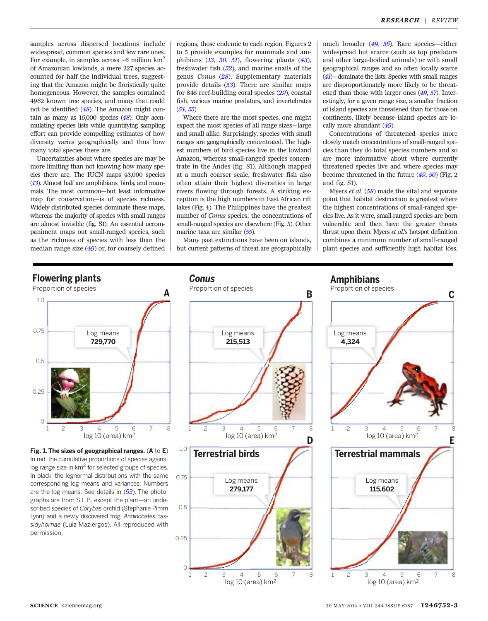samples across dispersed locations include widespread, common species and few rare ones. For example, in samples across  $~6$  million km<sup>2</sup> of Amazonian lowlands, a mere 227 species accounted for half the individual trees, suggesting that the Amazon might be floristically quite homogeneous. However, the samples contained 4962 known tree species, and many that could not be identified ([48](#page-9-0)). The Amazon might contain as many as  $16,000$  species  $(48)$  $(48)$  $(48)$ . Only accumulating species lists while quantifying sampling effort can provide compelling estimates of how diversity varies geographically and thus how many total species there are.

Uncertainties about where species are may be more limiting than not knowing how many species there are. The IUCN maps 43,000 species ([13](#page-8-0)). Almost half are amphibians, birds, and mammals. The most common—but least informative map for conservation—is of species richness. Widely distributed species dominate these maps, whereas the majority of species with small ranges are almost invisible (fig. S1). An essential accompaniment maps out small-ranged species, such as the richness of species with less than the median range size ([49](#page-9-0)) or, for coarsely defined

regions, those endemic to each region. Figures 2 to 5 provide examples for mammals and amphibians  $(13, 50, 51)$  $(13, 50, 51)$  $(13, 50, 51)$  $(13, 50, 51)$  $(13, 50, 51)$  $(13, 50, 51)$  $(13, 50, 51)$ , flowering plants  $(43)$  $(43)$  $(43)$ , freshwater fish ([52](#page-9-0)), and marine snails of the genus Conus ([28](#page-9-0)). Supplementary materials provide details ([53](#page-9-0)). There are similar maps for 845 reef-building coral species ([29](#page-9-0)), coastal fish, various marine predators, and invertebrates ([54](#page-9-0), [55](#page-9-0)).

Where there are the most species, one might expect the most species of all range sizes—large and small alike. Surprisingly, species with small ranges are geographically concentrated. The highest numbers of bird species live in the lowland Amazon, whereas small-ranged species concentrate in the Andes (fig. S1). Although mapped at a much coarser scale, freshwater fish also often attain their highest diversities in large rivers flowing through forests. A striking exception is the high numbers in East African rift lakes (Fig. 4). The Philippines have the greatest number of Conus species; the concentrations of small-ranged species are elsewhere (Fig. 5). Other marine taxa are similar ([55](#page-9-0)).

Many past extinctions have been on islands, but current patterns of threat are geographically

much broader  $(49, 56)$  $(49, 56)$  $(49, 56)$  $(49, 56)$  $(49, 56)$ . Rare species—either widespread but scarce (such as top predators and other large-bodied animals) or with small geographical ranges and so often locally scarce ([41](#page-9-0))—dominate the lists. Species with small ranges are disproportionately more likely to be threatened than those with larger ones ([49](#page-9-0), [57](#page-9-0)). Interestingly, for a given range size, a smaller fraction of island species are threatened than for those on continents, likely because island species are locally more abundant ([49](#page-9-0)).

Concentrations of threatened species more closely match concentrations of small-ranged species than they do total species numbers and so are more informative about where currently threatened species live and where species may become threatened in the future ([49](#page-9-0), [50](#page-9-0)) (Fig. 2 and fig. S1).

Myers et al. ([58](#page-9-0)) made the vital and separate point that habitat destruction is greatest where the highest concentrations of small-ranged species live. As it were, small-ranged species are born vulnerable and then have the greater threats thrust upon them. Myers et al.'s hotspot definition combines a minimum number of small-ranged plant species and sufficiently high habitat loss.

## **Flowering plants**



Fig. 1. The sizes of geographical ranges. (A to E) In red, the cumulative proportions of species against log range size in km<sup>2</sup> for selected groups of species. In black, the lognormal distributions with the same corresponding log means and variances. Numbers are the log means. See details in  $(53)$  $(53)$  $(53)$ . The photographs are from S.L.P., except the plant—an undescribed species of Corybas orchid (Stephanie Pimm Lyon) and a newly discovered frog, Andinobates cassidyhornae (Luiz Maziergos). All reproduced with permission.







log 10 (area) km2 log 10 (area) km2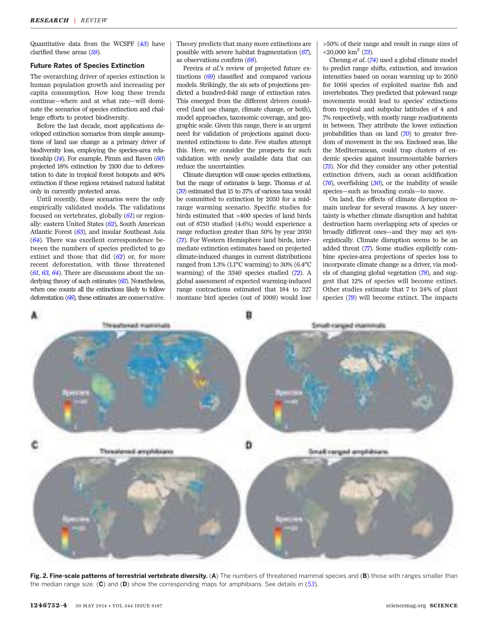Quantitative data from the WCSPF ([43](#page-9-0)) have clarified these areas ([59](#page-9-0)).

## Future Rates of Species Extinction

The overarching driver of species extinction is human population growth and increasing per capita consumption. How long these trends continue—where and at what rate—will dominate the scenarios of species extinction and challenge efforts to protect biodiversity.

Before the last decade, most applications developed extinction scenarios from simple assumptions of land use change as a primary driver of biodiversity loss, employing the species-area relationship  $(14)$  $(14)$  $(14)$ . For example, Pimm and Raven  $(60)$  $(60)$  $(60)$ projected 18% extinction by 2100 due to deforestation to date in tropical forest hotspots and 40% extinction if these regions retained natural habitat only in currently protected areas.

Until recently, these scenarios were the only empirically validated models. The validations focused on vertebrates, globally  $(61)$  $(61)$  $(61)$  or regionally: eastern United States ([62](#page-9-0)), South American Atlantic Forest  $(63)$  $(63)$  $(63)$ , and insular Southeast Asia ([64](#page-9-0)). There was excellent correspondence between the numbers of species predicted to go extinct and those that did  $(62)$  $(62)$  $(62)$  or, for more recent deforestation, with those threatened  $(61, 63, 64)$  $(61, 63, 64)$  $(61, 63, 64)$  $(61, 63, 64)$  $(61, 63, 64)$  $(61, 63, 64)$  $(61, 63, 64)$ . There are discussions about the un-derlying theory of such estimates ([65](#page-9-0)). Nonetheless, when one counts all the extinctions likely to follow deforestation  $(66)$  $(66)$  $(66)$ , these estimates are conservative. Theory predicts that many more extinctions are possible with severe habitat fragmentation ([67](#page-9-0)), as observations confirm  $(68)$  $(68)$  $(68)$ .

Pereira et al.'s review of projected future extinctions ([69](#page-9-0)) classified and compared various models. Strikingly, the six sets of projections predicted a hundred-fold range of extinction rates. This emerged from the different drivers considered (land use change, climate change, or both), model approaches, taxonomic coverage, and geographic scale. Given this range, there is an urgent need for validation of projections against documented extinctions to date. Few studies attempt this. Here, we consider the prospects for such validation with newly available data that can reduce the uncertainties.

Climate disruption will cause species extinctions, but the range of estimates is large. Thomas et al. ([70](#page-9-0)) estimated that 15 to 37% of various taxa would be committed to extinction by 2050 for a midrange warming scenario. Specific studies for birds estimated that >400 species of land birds out of 8750 studied (4.6%) would experience a range reduction greater than 50% by year 2050 ([71](#page-9-0)). For Western Hemisphere land birds, intermediate extinction estimates based on projected climate-induced changes in current distributions ranged from 1.3% (1.1°C warming) to 30% (6.4°C warming) of the 3349 species studied ([72](#page-9-0)). A global assessment of expected warming-induced range contractions estimated that 184 to 327 montane bird species (out of 1009) would lose >50% of their range and result in range sizes of  $<$ 20,000 km<sup>2</sup> ([73](#page-9-0)).

Cheung et al. ([74](#page-9-0)) used a global climate model to predict range shifts, extinction, and invasion intensities based on ocean warming up to 2050 for 1066 species of exploited marine fish and invertebrates. They predicted that poleward range movements would lead to species' extinctions from tropical and subpolar latitudes of 4 and 7% respectively, with mostly range readjustments in between. They attribute the lower extinction probabilities than on land ([70](#page-9-0)) to greater freedom of movement in the sea. Enclosed seas, like the Mediterranean, could trap clusters of endemic species against insurmountable barriers ([75](#page-9-0)). Nor did they consider any other potential extinction drivers, such as ocean acidification  $(76)$  $(76)$  $(76)$ , overfishing  $(30)$  $(30)$  $(30)$ , or the inability of sessile species—such as brooding corals—to move.

On land, the effects of climate disruption remain unclear for several reasons. A key uncertainty is whether climate disruption and habitat destruction harm overlapping sets of species or broadly different ones—and they may act synergistically. Climate disruption seems to be an added threat ([77](#page-9-0)). Some studies explicitly combine species-area projections of species loss to incorporate climate change as a driver, via models of changing global vegetation ([78](#page-9-0)), and suggest that 12% of species will become extinct. Other studies estimate that 7 to 24% of plant species ([79](#page-9-0)) will become extinct. The impacts



Fig. 2. Fine-scale patterns of terrestrial vertebrate diversity. (A) The numbers of threatened mammal species and (B) those with ranges smaller than the median range size. (C) and (D) show the corresponding maps for amphibians. See details in  $(53)$  $(53)$  $(53)$ .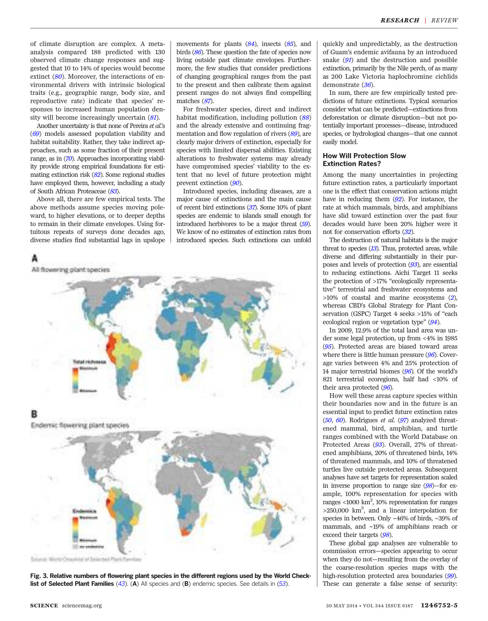of climate disruption are complex. A metaanalysis compared 188 predicted with 130 observed climate change responses and suggested that 10 to 14% of species would become extinct  $(80)$  $(80)$  $(80)$ . Moreover, the interactions of environmental drivers with intrinsic biological traits (e.g., geographic range, body size, and reproductive rate) indicate that species' responses to increased human population density will become increasingly uncertain ([81](#page-9-0)).

Another uncertainty is that none of Pereira et al.'s ([69](#page-9-0)) models assessed population viability and habitat suitability. Rather, they take indirect approaches, such as some fraction of their present range, as in ([70](#page-9-0)). Approaches incorporating viability provide strong empirical foundations for estimating extinction risk  $(82)$  $(82)$  $(82)$ . Some regional studies have employed them, however, including a study of South African Proteaceae ([83](#page-9-0)).

Above all, there are few empirical tests. The above methods assume species moving poleward, to higher elevations, or to deeper depths to remain in their climate envelopes. Using fortuitous repeats of surveys done decades ago, diverse studies find substantial lags in upslope

movements for plants  $(84)$  $(84)$  $(84)$ , insects  $(85)$  $(85)$  $(85)$ , and birds  $(86)$  $(86)$  $(86)$ . These question the fate of species now living outside past climate envelopes. Furthermore, the few studies that consider predictions of changing geographical ranges from the past to the present and then calibrate them against present ranges do not always find compelling matches ([87](#page-9-0)).

For freshwater species, direct and indirect habitat modification, including pollution ([88](#page-9-0)) and the already extensive and continuing fragmentation and flow regulation of rivers ([89](#page-9-0)), are clearly major drivers of extinction, especially for species with limited dispersal abilities. Existing alterations to freshwater systems may already have compromised species' viability to the extent that no level of future protection might prevent extinction ([90](#page-9-0)).

Introduced species, including diseases, are a major cause of extinctions and the main cause of recent bird extinctions ([37](#page-9-0)). Some 10% of plant species are endemic to islands small enough for introduced herbivores to be a major threat ([59](#page-9-0)). We know of no estimates of extinction rates from introduced species. Such extinctions can unfold





Fig. 3. Relative numbers of flowering plant species in the different regions used by the World Check-list of Selected Plant Families ([43](#page-9-0)). (A) All species and (B) endemic species. See details in ([53](#page-9-0)).

quickly and unpredictably, as the destruction of Guam's endemic avifauna by an introduced snake  $(91)$  $(91)$  $(91)$  and the destruction and possible extinction, primarily by the Nile perch, of as many as 200 Lake Victoria haplochromine cichlids demonstrate ([36](#page-9-0)).

In sum, there are few empirically tested predictions of future extinctions. Typical scenarios consider what can be predicted—extinctions from deforestation or climate disruption—but not potentially important processes—disease, introduced species, or hydrological changes—that one cannot easily model.

## How Will Protection Slow Extinction Rates?

Among the many uncertainties in projecting future extinction rates, a particularly important one is the effect that conservation actions might have in reducing them  $(92)$  $(92)$  $(92)$ . For instance, the rate at which mammals, birds, and amphibians have slid toward extinction over the past four decades would have been 20% higher were it not for conservation efforts ([32](#page-9-0)).

The destruction of natural habitats is the major threat to species  $(13)$  $(13)$  $(13)$ . Thus, protected areas, while diverse and differing substantially in their purposes and levels of protection ([93](#page-9-0)), are essential to reducing extinctions. Aichi Target 11 seeks the protection of >17% "ecologically representative" terrestrial and freshwater ecosystems and >10% of coastal and marine ecosystems ([2](#page-8-0)), whereas CBD's Global Strategy for Plant Conservation (GSPC) Target 4 seeks >15% of "each ecological region or vegetation type" ([94](#page-9-0)).

In 2009, 12.9% of the total land area was under some legal protection, up from <4% in 1985 ([95](#page-10-0)). Protected areas are biased toward areas where there is little human pressure  $(96)$  $(96)$  $(96)$ . Coverage varies between 4% and 25% protection of 14 major terrestrial biomes ([96](#page-10-0)). Of the world's 821 terrestrial ecoregions, half had <10% of their area protected  $(96)$  $(96)$  $(96)$ .

How well these areas capture species within their boundaries now and in the future is an essential input to predict future extinction rates  $(50, 60)$  $(50, 60)$  $(50, 60)$  $(50, 60)$  $(50, 60)$ . Rodrigues *et al.*  $(97)$  $(97)$  $(97)$  analyzed threatened mammal, bird, amphibian, and turtle ranges combined with the World Database on Protected Areas ([93](#page-9-0)). Overall, 27% of threatened amphibians, 20% of threatened birds, 14% of threatened mammals, and 10% of threatened turtles live outside protected areas. Subsequent analyses have set targets for representation scaled in inverse proportion to range size  $(98)$  $(98)$  $(98)$ —for example, 100% representation for species with ranges  $\langle 1000 \text{ km}^2, 10\%$  representation for ranges  $>250,000$  km<sup>2</sup>, and a linear interpolation for species in between. Only ~46% of birds, ~39% of mammals, and ~19% of amphibians reach or exceed their targets ([98](#page-10-0)).

These global gap analyses are vulnerable to commission errors—species appearing to occur when they do not—resulting from the overlay of the coarse-resolution species maps with the high-resolution protected area boundaries ([99](#page-10-0)). These can generate a false sense of security: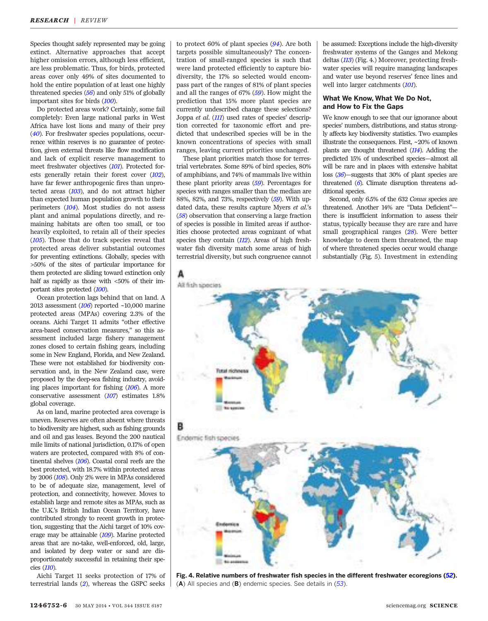Species thought safely represented may be going extinct. Alternative approaches that accept higher omission errors, although less efficient, are less problematic. Thus, for birds, protected areas cover only 49% of sites documented to hold the entire population of at least one highly threatened species  $(56)$  $(56)$  $(56)$  and only 51% of globally important sites for birds ([100](#page-10-0)).

Do protected areas work? Certainly, some fail completely: Even large national parks in West Africa have lost lions and many of their prey ([40](#page-9-0)). For freshwater species populations, occurrence within reserves is no guarantee of protection, given external threats like flow modification and lack of explicit reserve management to meet freshwater objectives ([101](#page-10-0)). Protected forests generally retain their forest cover ([102](#page-10-0)), have far fewer anthropogenic fires than unprotected areas ([103](#page-10-0)), and do not attract higher than expected human population growth to their perimeters ([104](#page-10-0)). Most studies do not assess plant and animal populations directly, and remaining habitats are often too small, or too heavily exploited, to retain all of their species ([105](#page-10-0)). Those that do track species reveal that protected areas deliver substantial outcomes for preventing extinctions. Globally, species with >50% of the sites of particular importance for them protected are sliding toward extinction only half as rapidly as those with <50% of their important sites protected ([100](#page-10-0)).

Ocean protection lags behind that on land. A 2013 assessment  $(106)$  $(106)$  $(106)$  reported ~10,000 marine protected areas (MPAs) covering 2.3% of the oceans. Aichi Target 11 admits "other effective area-based conservation measures," so this assessment included large fishery management zones closed to certain fishing gears, including some in New England, Florida, and New Zealand. These were not established for biodiversity conservation and, in the New Zealand case, were proposed by the deep-sea fishing industry, avoiding places important for fishing  $(106)$  $(106)$  $(106)$ . A more conservative assessment ([107](#page-10-0)) estimates 1.8% global coverage.

As on land, marine protected area coverage is uneven. Reserves are often absent where threats to biodiversity are highest, such as fishing grounds and oil and gas leases. Beyond the 200 nautical mile limits of national jurisdiction, 0.17% of open waters are protected, compared with 8% of continental shelves  $(106)$  $(106)$  $(106)$ . Coastal coral reefs are the best protected, with 18.7% within protected areas by 2006 ([108](#page-10-0)). Only 2% were in MPAs considered to be of adequate size, management, level of protection, and connectivity, however. Moves to establish large and remote sites as MPAs, such as the U.K.'s British Indian Ocean Territory, have contributed strongly to recent growth in protection, suggesting that the Aichi target of 10% coverage may be attainable ([109](#page-10-0)). Marine protected areas that are no-take, well-enforced, old, large, and isolated by deep water or sand are disproportionately successful in retaining their species ([110](#page-10-0)).

Aichi Target 11 seeks protection of 17% of terrestrial lands ([2](#page-8-0)), whereas the GSPC seeks

to protect 60% of plant species  $(94)$  $(94)$  $(94)$ . Are both targets possible simultaneously? The concentration of small-ranged species is such that were land protected efficiently to capture biodiversity, the 17% so selected would encompass part of the ranges of 81% of plant species and all the ranges of  $67\%$   $(59)$  $(59)$  $(59)$ . How might the prediction that 15% more plant species are currently undescribed change these selections? Joppa et al. (III) used rates of species' description corrected for taxonomic effort and predicted that undescribed species will be in the known concentrations of species with small ranges, leaving current priorities unchanged.

These plant priorities match those for terrestrial vertebrates. Some 89% of bird species, 80% of amphibians, and 74% of mammals live within these plant priority areas ([59](#page-9-0)). Percentages for species with ranges smaller than the median are 88%, 82%, and 73%, respectively ([59](#page-9-0)). With updated data, these results capture Myers et al.'s ([58](#page-9-0)) observation that conserving a large fraction of species is possible in limited areas if authorities choose protected areas cognizant of what species they contain ([112](#page-10-0)). Areas of high freshwater fish diversity match some areas of high terrestrial diversity, but such congruence cannot be assumed: Exceptions include the high-diversity freshwater systems of the Ganges and Mekong deltas ([113](#page-10-0)) (Fig. 4.) Moreover, protecting freshwater species will require managing landscapes and water use beyond reserves' fence lines and well into larger catchments ([101](#page-10-0)).

## What We Know, What We Do Not, and How to Fix the Gaps

We know enough to see that our ignorance about species' numbers, distributions, and status strongly affects key biodiversity statistics. Two examples illustrate the consequences. First, ~20% of known plants are thought threatened ([114](#page-10-0)). Adding the predicted 15% of undescribed species—almost all will be rare and in places with extensive habitat loss ([36](#page-9-0))—suggests that 30% of plant species are threatened  $(6)$  $(6)$  $(6)$ . Climate disruption threatens additional species.

Second, only 6.5% of the 632 Conus species are threatened. Another 14% are "Data Deficient" there is insufficient information to assess their status, typically because they are rare and have small geographical ranges ([28](#page-9-0)). Were better knowledge to deem them threatened, the map of where threatened species occur would change substantially (Fig. 5). Investment in extending





Fig. 4. Relative numbers of freshwater fish species in the different freshwater ecoregions ([52](#page-9-0)).  $(A)$  All species and  $(B)$  endemic species. See details in  $(53)$  $(53)$  $(53)$ .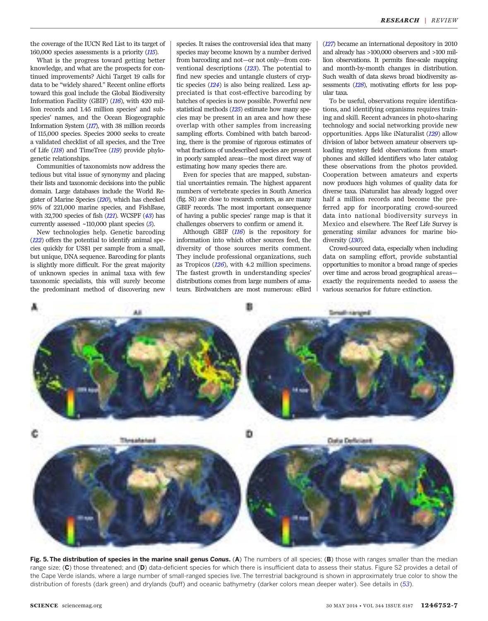the coverage of the IUCN Red List to its target of 160,000 species assessments is a priority ([115](#page-10-0)).

What is the progress toward getting better knowledge, and what are the prospects for continued improvements? Aichi Target 19 calls for data to be "widely shared." Recent online efforts toward this goal include the Global Biodiversity Information Facility (GBIF) ([116](#page-10-0)), with 420 million records and 1.45 million species' and subspecies' names, and the Ocean Biogeographic Information System ([117](#page-10-0)), with 38 million records of 115,000 species. Species 2000 seeks to create a validated checklist of all species, and the Tree of Life ([118](#page-10-0)) and TimeTree ([119](#page-10-0)) provide phylogenetic relationships.

Communities of taxonomists now address the tedious but vital issue of synonymy and placing their lists and taxonomic decisions into the public domain. Large databases include the World Register of Marine Species ([120](#page-10-0)), which has checked 95% of 221,000 marine species, and FishBase, with  $32,700$  species of fish  $(121)$  $(121)$  $(121)$ . WCSPF  $(43)$  $(43)$  $(43)$  has currently assessed  $\sim$ 110,000 plant species ([5](#page-8-0)).

New technologies help. Genetic barcoding ([122](#page-10-0)) offers the potential to identify animal species quickly for US\$1 per sample from a small, but unique, DNA sequence. Barcoding for plants is slightly more difficult. For the great majority of unknown species in animal taxa with few taxonomic specialists, this will surely become the predominant method of discovering new

species. It raises the controversial idea that many species may become known by a number derived from barcoding and not—or not only—from conventional descriptions  $(123)$  $(123)$  $(123)$ . The potential to find new species and untangle clusters of cryptic species  $(124)$  $(124)$  $(124)$  is also being realized. Less appreciated is that cost-effective barcoding by batches of species is now possible. Powerful new statistical methods ([125](#page-10-0)) estimate how many species may be present in an area and how these overlap with other samples from increasing sampling efforts. Combined with batch barcoding, there is the promise of rigorous estimates of what fractions of undescribed species are present in poorly sampled areas—the most direct way of estimating how many species there are.

Even for species that are mapped, substantial uncertainties remain. The highest apparent numbers of vertebrate species in South America (fig. S1) are close to research centers, as are many GBIF records. The most important consequence of having a public species' range map is that it challenges observers to confirm or amend it.

Although GBIF  $(116)$  $(116)$  $(116)$  is the repository for information into which other sources feed, the diversity of those sources merits comment. They include professional organizations, such as Tropicos  $(126)$  $(126)$  $(126)$ , with 4.2 million specimens. The fastest growth in understanding species' distributions comes from large numbers of amateurs. Birdwatchers are most numerous: eBird ([127](#page-10-0)) became an international depository in 2010 and already has >100,000 observers and >100 million observations. It permits fine-scale mapping and month-by-month changes in distribution. Such wealth of data skews broad biodiversity assessments ( $128$ ), motivating efforts for less popular taxa.

To be useful, observations require identifications, and identifying organisms requires training and skill. Recent advances in photo-sharing technology and social networking provide new opportunities. Apps like iNaturalist ([129](#page-10-0)) allow division of labor between amateur observers uploading mystery field observations from smartphones and skilled identifiers who later catalog these observations from the photos provided. Cooperation between amateurs and experts now produces high volumes of quality data for diverse taxa. iNaturalist has already logged over half a million records and become the preferred app for incorporating crowd-sourced data into national biodiversity surveys in Mexico and elsewhere. The Reef Life Survey is generating similar advances for marine bio-diversity ([130](#page-10-0)).

Crowd-sourced data, especially when including data on sampling effort, provide substantial opportunities to monitor a broad range of species over time and across broad geographical areas exactly the requirements needed to assess the various scenarios for future extinction.



Fig. 5. The distribution of species in the marine snail genus Conus. (A) The numbers of all species; (B) those with ranges smaller than the median range size; (C) those threatened; and (D) data-deficient species for which there is insufficient data to assess their status. Figure S2 provides a detail of the Cape Verde islands, where a large number of small-ranged species live. The terrestrial background is shown in approximately true color to show the distribution of forests (dark green) and drylands (buff) and oceanic bathymetry (darker colors mean deeper water). See details in ([53](#page-9-0)).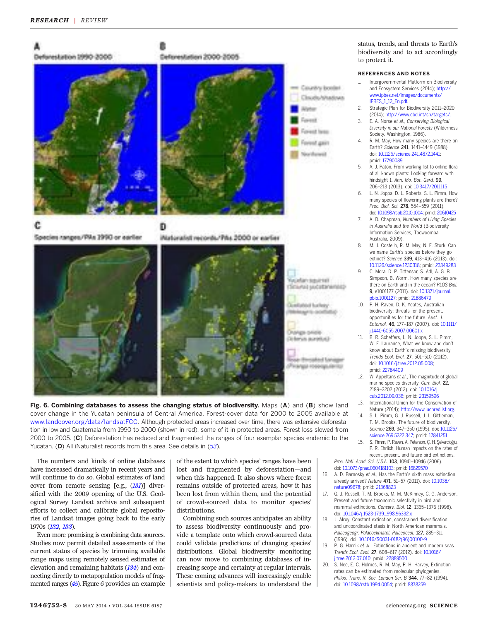## <span id="page-8-0"></span>Deforestation 1990-2000











Naturalist records/PAs 2000 or earlier

status, trends, and threats to Earth's biodiversity and to act accordingly to protect it.

### REFERENCES AND NOTES

Clouds/shadows

sent here ries ferro Gorthawal

Intellection Major (Sciurus) podstanensko

Autobioli fuchay Animage to conditative)

**Pariga gride** Tehnyik asalnya

se thropked lange Forgo coorpularity

- 1. Intergovernmental Platform on Biodiversity and Ecosystem Services (2014); [http://](http://www.ipbes.net/images/documents/IPBES_1_12_En.pdf) [www.ipbes.net/images/documents/](http://www.ipbes.net/images/documents/IPBES_1_12_En.pdf) [IPBES\\_1\\_12\\_En.pdf.](http://www.ipbes.net/images/documents/IPBES_1_12_En.pdf)
- 2. Strategic Plan for Biodiversity 2011–2020 (2014); [http://www.cbd.int/sp/targets/.](http://www.cbd.int/sp/targets/)
- 3. E. A. Norse et al., Conserving Biological Diversity in our National Forests (Wilderness Society, Washington, 1986).
- R. M. May, How many species are there on Earth? Science 241, 1441–1449 (1988). doi: [10.1126/science.241.4872.1441;](http://dx.doi.org/10.1126/science.241.4872.1441) pmid: [17790039](http://www.ncbi.nlm.nih.gov/pubmed/17790039)
- 5. A. J. Paton, From working list to online flora of all known plants: Looking forward with hindsight 1. Ann. Mo. Bot. Gard. 99, 206–213 (2013). doi: [10.3417/2011115](http://dx.doi.org/10.3417/2011115)
- 6. L. N. Joppa, D. L. Roberts, S. L. Pimm, How many species of flowering plants are there? Proc. Biol. Sci. 278, 554–559 (2011). doi: [10.1098/rspb.2010.1004;](http://dx.doi.org/10.1098/rspb.2010.1004) pmid: [20610425](http://www.ncbi.nlm.nih.gov/pubmed/20610425)
- A. D. Chapman, Numbers of Living Species in Australia and the World (Biodiversity Information Services, Toowoomba, Australia, 2009).
- 8. M. J. Costello, R. M. May, N. E. Stork, Can we name Earth's species before they go extinct? Science 339, 413–416 (2013). doi: [10.1126/science.1230318;](http://dx.doi.org/10.1126/science.1230318) pmid: [23349283](http://www.ncbi.nlm.nih.gov/pubmed/23349283)
- 9. C. Mora, D. P. Tittensor, S. Adl, A. G. B. Simpson, B. Worm, How many species are there on Earth and in the ocean? PLOS Biol. 9, e1001127 (2011). doi: [10.1371/journal.](http://dx.doi.org/10.1371/journal.pbio.1001127) [pbio.1001127;](http://dx.doi.org/10.1371/journal.pbio.1001127) pmid: [21886479](http://www.ncbi.nlm.nih.gov/pubmed/21886479)
- P. H. Raven, D. K. Yeates, Australian biodiversity: threats for the present, opportunities for the future. Aust. J. Entomol. 46, 177–187 (2007). doi: [10.1111/](http://dx.doi.org/10.1111/j.1440-6055.2007.00601.x) [j.1440-6055.2007.00601.x](http://dx.doi.org/10.1111/j.1440-6055.2007.00601.x)
- 11. B. R. Scheffers, L. N. Joppa, S. L. Pimm, W. F. Laurance, What we know and don't know about Earth's missing biodiversity. Trends Ecol. Evol. 27, 501–510 (2012). doi: [10.1016/j.tree.2012.05.008](http://dx.doi.org/10.1016/j.tree.2012.05.008); pmid: [22784409](http://www.ncbi.nlm.nih.gov/pubmed/22784409)
- 12. W. Appeltans et al., The magnitude of global marine species diversity. Curr. Biol. 22, 2189–2202 (2012). doi: [10.1016/j.](http://dx.doi.org/10.1016/j.cub.2012.09.036) [cub.2012.09.036](http://dx.doi.org/10.1016/j.cub.2012.09.036); pmid: [23159596](http://www.ncbi.nlm.nih.gov/pubmed/23159596)
- 13. International Union for the Conservation of Nature (2014); [http://www.iucnredlist.org..](http://www.iucnredlist.org)
- 14. S. L. Pimm, G. J. Russell, J. L. Gittleman, T. M. Brooks, The future of biodiversity. Science 269, 347–350 (1995). doi: [10.1126/](http://dx.doi.org/10.1126/science.269.5222.347) [science.269.5222.347](http://dx.doi.org/10.1126/science.269.5222.347); pmid: [17841251](http://www.ncbi.nlm.nih.gov/pubmed/17841251)
- 15. S. Pimm, P. Raven, A. Peterson, Ç. H. Şekercioğlu, P. R. Ehrlich, Human impacts on the rates of recent, present, and future bird extinctions.

doi: [10.1073/pnas.0604181103](http://dx.doi.org/10.1073/pnas.0604181103); pmid: [16829570](http://www.ncbi.nlm.nih.gov/pubmed/16829570)

- 16. A. D. Barnosky et al., Has the Earth's sixth mass extinction already arrived? Nature 471, 51–57 (2011). doi: [10.1038/](http://dx.doi.org/10.1038/nature09678) [nature09678;](http://dx.doi.org/10.1038/nature09678) pmid: [21368823](http://www.ncbi.nlm.nih.gov/pubmed/21368823)
- 17. G. J. Russell, T. M. Brooks, M. M. McKinney, C. G. Anderson, Present and future taxonomic selectivity in bird and mammal extinctions. Conserv. Biol. 12, 1365–1376 (1998). doi: [10.1046/j.1523-1739.1998.96332.x](http://dx.doi.org/10.1046/j.1523-1739.1998.96332.x)
- J. Alroy, Constant extinction, constrained diversification, and uncoordinated stasis in North American mammals. Palaeogeogr. Palaeoclimatol. Palaeoecol. 127, 285–311 (1996). doi: [10.1016/S0031-0182\(96\)00100-9](http://dx.doi.org/10.1016/S0031-0182(96)00100-9)
- 19. P. G. Harnik et al., Extinctions in ancient and modern seas. Trends Ecol. Evol. 27, 608–617 (2012). doi: [10.1016/](http://dx.doi.org/10.1016/j.tree.2012.07.010) tree.2012.07.010; pmid: [22889500](http://www.ncbi.nlm.nih.gov/pubmed/22889500)
- 20. S. Nee, E. C. Holmes, R. M. May, P. H. Harvey, Extinction rates can be estimated from molecular phylogenies. Philos. Trans. R. Soc. London Ser. B 344, 77–82 (1994). doi: [10.1098/rstb.1994.0054](http://dx.doi.org/10.1098/rstb.1994.0054); pmid: [8878259](http://www.ncbi.nlm.nih.gov/pubmed/8878259)

Fig. 6. Combining databases to assess the changing status of biodiversity. Maps (A) and (B) show land cover change in the Yucatan peninsula of Central America. Forest-cover data for 2000 to 2005 available at www.landcover.org/data/landsatFCC. Although protected areas increased over time, there was extensive deforestation in lowland Guatemala from 1990 to 2000 (shown in red), some of it in protected areas. Forest loss slowed from 2000 to 2005. (C) Deforestation has reduced and fragmented the ranges of four exemplar species endemic to the Yucatan. (D) All iNaturalist records from this area. See details in ([53](#page-9-0)).

The numbers and kinds of online databases have increased dramatically in recent years and will continue to do so. Global estimates of land cover from remote sensing [e.g., ([131](#page-10-0))] diversified with the 2009 opening of the U.S. Geological Survey Landsat archive and subsequent efforts to collect and calibrate global repositories of Landsat images going back to the early 1970s ([132](#page-10-0), [133](#page-10-0)).

Even more promising is combining data sources. Studies now permit detailed assessments of the current status of species by trimming available range maps using remotely sensed estimates of elevation and remaining habitats ([134](#page-10-0)) and connecting directly to metapopulation models of fragmented ranges ([45](#page-9-0)). Figure 6 provides an example of the extent to which species' ranges have been lost and fragmented by deforestation—and when this happened. It also shows where forest remains outside of protected areas, how it has been lost from within them, and the potential of crowd-sourced data to monitor species' distributions.

Combining such sources anticipates an ability to assess biodiversity continuously and provide a template onto which crowd-sourced data could validate predictions of changing species' distributions. Global biodiversity monitoring can now move to combining databases of increasing scope and certainty at regular intervals. These coming advances will increasingly enable scientists and policy-makers to understand the

Proc. Natl. Acad. Sci. U.S.A. 103, 10941–10946 (2006).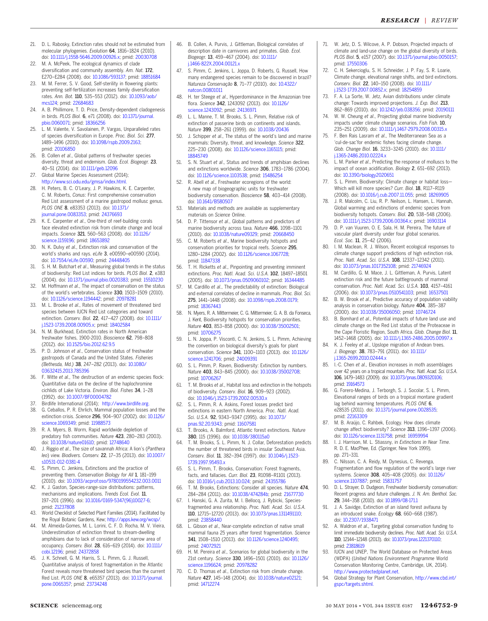- <span id="page-9-0"></span>21. D. L. Rabosky, Extinction rates should not be estimated from molecular phylogenies. Evolution 64, 1816–1824 (2010). doi: [10.1111/j.1558-5646.2009.00926.x;](http://dx.doi.org/10.1111/j.1558-5646.2009.00926.x) pmid: [20030708](http://www.ncbi.nlm.nih.gov/pubmed/20030708)
- 22. M. A. McPeek, The ecological dynamics of clade diversification and community assembly. Am. Nat. 172, E270–E284 (2008). doi: [10.1086/593137;](http://dx.doi.org/10.1086/593137) pmid: [18851684](http://www.ncbi.nlm.nih.gov/pubmed/18851684)
- 23. M. M. Ferrer, S. V. Good, Self-sterility in flowering plants: preventing self-fertilization increases family diversification rates. Ann. Bot. 110, 535–553 (2012). doi: [10.1093/aob/](http://dx.doi.org/10.1093/aob/mcs124) [mcs124;](http://dx.doi.org/10.1093/aob/mcs124) pmid: [22684683](http://www.ncbi.nlm.nih.gov/pubmed/22684683)
- 24. A. B. Phillimore, T. D. Price, Density-dependent cladogenesis in birds. PLOS Biol. 6, e71 (2008). doi: [10.1371/journal.](http://dx.doi.org/10.1371/journal.pbio.0060071) [pbio.0060071;](http://dx.doi.org/10.1371/journal.pbio.0060071) pmid: [18366256](http://www.ncbi.nlm.nih.gov/pubmed/18366256)
- 25. L. M. Valente, V. Savolainen, P. Vargas, Unparalleled rates of species diversification in Europe. Proc. Biol. Sci. 277, 1489–1496 (2010). doi: [10.1098/rspb.2009.2163;](http://dx.doi.org/10.1098/rspb.2009.2163) pmid: [20106850](http://www.ncbi.nlm.nih.gov/pubmed/20106850)
- B. Collen et al., Global patterns of freshwater species diversity, threat and endemism. Glob. Ecol. Biogeogr. 23, 40–51 (2014). doi: [10.1111/geb.12096](http://dx.doi.org/10.1111/geb.12096)
- 27. Global Marine Species Assessment (2014); [http://www.sci.odu.edu/gmsa/index.html.](http://www.sci.odu.edu/gmsa/index.html)
- 28. H. Peters, B. C. O'Leary, J. P. Hawkins, K. E. Carpenter, C. M. Roberts, Conus: First comprehensive conservation Red List assessment of a marine gastropod mollusc genus. PLOS ONE 8, e83353 (2013). doi: [10.1371/](http://dx.doi.org/10.1371/journal.pone.0083353) [journal.pone.0083353;](http://dx.doi.org/10.1371/journal.pone.0083353) pmid: [24376693](http://www.ncbi.nlm.nih.gov/pubmed/24376693)
- 29. K. E. Carpenter et al., One-third of reef-building corals face elevated extinction risk from climate change and local impacts. Science 321, 560–563 (2008). doi: [10.1126/](http://dx.doi.org/10.1126/science.1159196) [science.1159196](http://dx.doi.org/10.1126/science.1159196); pmid: [18653892](http://www.ncbi.nlm.nih.gov/pubmed/18653892)
- 30. N. K. Dulyv et al., Extinction risk and conservation of the world's sharks and rays. eLife 3, e00590–e00590 (2014). doi: [10.7554/eLife.00590](http://dx.doi.org/10.7554/eLife.00590); pmid: [24448405](http://www.ncbi.nlm.nih.gov/pubmed/24448405)
- 31. S. H. M. Butchart et al., Measuring global trends in the status of biodiversity: Red List indices for birds. PLOS Biol. 2, e383 (2004). doi: [10.1371/journal.pbio.0020383;](http://dx.doi.org/10.1371/journal.pbio.0020383) pmid: [15510230](http://www.ncbi.nlm.nih.gov/pubmed/15510230)
- M. Hoffmann et al., The impact of conservation on the status of the world's vertebrates. Science 330, 1503–1509 (2010). doi: [10.1126/science.1194442;](http://dx.doi.org/10.1126/science.1194442) pmid: [20978281](http://www.ncbi.nlm.nih.gov/pubmed/20978281)
- 33. M. L. Brooke et al., Rates of movement of threatened bird species between IUCN Red List categories and toward extinction. Conserv. Biol. 22, 417-427 (2008). doi: [10.1111/](http://dx.doi.org/10.1111/j.1523-1739.2008.00905.x) [j.1523-1739.2008.00905.x;](http://dx.doi.org/10.1111/j.1523-1739.2008.00905.x) pmid: [18402584](http://www.ncbi.nlm.nih.gov/pubmed/18402584)
- 34. N. M. Burkhead, Extinction rates in North American freshwater fishes, 1900-2010. Bioscience 62, 798–808 (2012). doi: [10.1525/bio.2012.62.9.5](http://dx.doi.org/10.1525/bio.2012.62.9.5)
- 35. P. D. Johnson et al., Conservation status of freshwater gastropods of Canada and the United States. Fisheries (Bethesda, Md.) 38, 247–282 (2013). doi: [10.1080/](http://dx.doi.org/10.1080/03632415.2013.785396) [03632415.2013.785396](http://dx.doi.org/10.1080/03632415.2013.785396)
- 36. F. Witte et al., The destruction of an endemic species flock: Quantitative data on the decline of the haplochromine cichlids of Lake Victoria. Environ. Biol. Fishes 34, 1–28 (1992). doi: [10.1007/BF00004782](http://dx.doi.org/10.1007/BF00004782)
- 37. Birdlife International (2014); [http://www.birdlife.org.](http://www.birdlife.org)
- 38. G. Ceballos, P. R. Ehrlich, Mammal population losses and the extinction crisis. Science 296, 904–907 (2002). doi: [10.1126/](http://dx.doi.org/10.1126/science.1069349) [science.1069349](http://dx.doi.org/10.1126/science.1069349); pmid: [11988573](http://www.ncbi.nlm.nih.gov/pubmed/11988573)
- 39. R. A. Myers, B. Worm, Rapid worldwide depletion of predatory fish communities. Nature 423, 280–283 (2003). doi: [10.1038/nature01610](http://dx.doi.org/10.1038/nature01610); pmid: [12748640](http://www.ncbi.nlm.nih.gov/pubmed/12748640)
- 40. J. Riggio et al., The size of savannah Africa: A lion's (Panthera leo) view. Biodivers. Conserv. 22, 17–35 (2013). doi: [10.1007/](http://dx.doi.org/10.1007/s10531-012-0381-4) [s10531-012-0381-4](http://dx.doi.org/10.1007/s10531-012-0381-4)
- 5. Pimm, C. Jenkins, Extinctions and the practice of preventing them. Conservation Biology for All 1, 181-199 (2010). doi: [10.1093/acprof:oso/9780199554232.003.0011](http://dx.doi.org/10.1093/acprof:oso/9780199554232.003.0011)
- 42. K. J. Gaston, Species-range-size distributions: patterns, mechanisms and implications. Trends Ecol. Evol. 11, 197–201 (1996). doi: [10.1016/0169-5347\(96\)10027-6](http://dx.doi.org/10.1016/0169-5347(96)10027-6); pmid: [21237808](http://www.ncbi.nlm.nih.gov/pubmed/21237808)
- 43. World Checklist of Selected Plant Families (2014). Facilitated by the Royal Botanic Gardens, Kew; [http://apps.kew.org/wcsp/.](http://apps.kew.org/wcsp/)
- 44. M. Almeida-Gomes, M. L. Lorini, C. F. D. Rocha, M. V. Vieira, Underestimation of extinction threat to stream-dwelling amphibians due to lack of consideration of narrow area of occupancy. Conserv. Biol. 28, 616–619 (2014). doi: [10.1111/](http://dx.doi.org/10.1111/cobi.12196) [cobi.12196](http://dx.doi.org/10.1111/cobi.12196); pmid: [24372858](http://www.ncbi.nlm.nih.gov/pubmed/24372858)
- 45. J. K. Schnell, G. M. Harris, S. L. Pimm, G. J. Russell, Quantitative analysis of forest fragmentation in the Atlantic Forest reveals more threatened bird species than the current Red List. PLOS ONE 8, e65357 (2013). doi: [10.1371/journal.](http://dx.doi.org/10.1371/journal.pone.0065357) [pone.0065357](http://dx.doi.org/10.1371/journal.pone.0065357); pmid: [23734248](http://www.ncbi.nlm.nih.gov/pubmed/23734248)
- 46. B. Collen, A. Purvis, J. Gittleman, Biological correlates of description date in carnivores and primates. Glob. Ecol. Biogeogr. 13, 459–467 (2004). doi: [10.1111/](http://dx.doi.org/10.1111/j.1466-822X.2004.00121.x) [j.1466-822X.2004.00121.x](http://dx.doi.org/10.1111/j.1466-822X.2004.00121.x)
- 47. S. Pimm, C. Jenkins, L. Joppa, D. Roberts, G. Russell, How many endangered species remain to be discovered in brazil? Natureza Conservação 8, 71–77 (2010). doi: [10.4322/](http://dx.doi.org/10.4322/natcon.00801011) [natcon.00801011](http://dx.doi.org/10.4322/natcon.00801011)
- 48. H. ter Steege et al., Hyperdominance in the Amazonian tree flora. Science 342, 1243092 (2013). doi: [10.1126/](http://dx.doi.org/10.1126/science.1243092) [science.1243092;](http://dx.doi.org/10.1126/science.1243092) pmid: [24136971](http://www.ncbi.nlm.nih.gov/pubmed/24136971)
- 49. L. L. Manne, T. M. Brooks, S. L. Pimm, Relative risk of extinction of passerine birds on continents and islands. Nature 399, 258–261 (1999). doi: [10.1038/20436](http://dx.doi.org/10.1038/20436)
- 50. J. Schipper et al., The status of the world's land and marine mammals: Diversity, threat, and knowledge. Science 322, 225–230 (2008). doi: [10.1126/science.1165115;](http://dx.doi.org/10.1126/science.1165115) pmid: [18845749](http://www.ncbi.nlm.nih.gov/pubmed/18845749)
- 51. S. N. Stuart et al., Status and trends of amphibian declines and extinctions worldwide. Science 306, 1783–1786 (2004). doi: [10.1126/science.1103538;](http://dx.doi.org/10.1126/science.1103538) pmid: [15486254](http://www.ncbi.nlm.nih.gov/pubmed/15486254)
- 52. R. Abell et al., Freshwater ecoregions of the world: A new map of biogeographic units for freshwater biodiversity conservation. Bioscience 58, 403–414 (2008). doi: [10.1641/B580507](http://dx.doi.org/10.1641/B580507)
- 53. Materials and methods are available as supplementary materials on Science Online.
- 54. D. P. Tittensor et al., Global patterns and predictors of marine biodiversity across taxa. Nature 466, 1098–1101 (2010). doi: [10.1038/nature09329](http://dx.doi.org/10.1038/nature09329); pmid: [20668450](http://www.ncbi.nlm.nih.gov/pubmed/20668450)
- 55. C. M. Roberts et al., Marine biodiversity hotspots and conservation priorities for tropical reefs. Science 295, 1280–1284 (2002). doi: [10.1126/science.1067728;](http://dx.doi.org/10.1126/science.1067728) pmid: [11847338](http://www.ncbi.nlm.nih.gov/pubmed/11847338)
- 56. T. H. Ricketts et al., Pinpointing and preventing imminent extinctions. Proc. Natl. Acad. Sci. U.S.A. 102, 18497–18501 (2005). doi: [10.1073/pnas.0509060102](http://dx.doi.org/10.1073/pnas.0509060102); pmid: [16344485](http://www.ncbi.nlm.nih.gov/pubmed/16344485)
- 57. M. Cardillo et al., The predictability of extinction: Biological and external correlates of decline in mammals. Proc. Biol. Sci. 275, 1441–1448 (2008). doi: [10.1098/rspb.2008.0179;](http://dx.doi.org/10.1098/rspb.2008.0179) pmid: [18367443](http://www.ncbi.nlm.nih.gov/pubmed/18367443)
- 58. N. Myers, R. A. Mittermeier, C. G. Mittermeier, G. A. B. da Fonseca, J. Kent, Biodiversity hotspots for conservation priorities. Nature 403, 853–858 (2000). doi: [10.1038/35002501;](http://dx.doi.org/10.1038/35002501) pmid: [10706275](http://www.ncbi.nlm.nih.gov/pubmed/10706275)
- 59. L. N. Joppa, P. Visconti, C. N. Jenkins, S. L. Pimm, Achieving the convention on biological diversity's goals for plant conservation. Science 341, 1100–1103 (2013). doi: [10.1126/](http://dx.doi.org/10.1126/science.1241706) [science.1241706;](http://dx.doi.org/10.1126/science.1241706) pmid: [24009391](http://www.ncbi.nlm.nih.gov/pubmed/24009391)
- 60. S. L. Pimm, P. Raven, Biodiversity: Extinction by numbers. Nature 403, 843–845 (2000). doi: [10.1038/35002708;](http://dx.doi.org/10.1038/35002708) pmid: [10706267](http://www.ncbi.nlm.nih.gov/pubmed/10706267)
- T. M. Brooks et al., Habitat loss and extinction in the hotspots of biodiversity. Conserv. Biol. 16, 909–923 (2002). doi: [10.1046/j.1523-1739.2002.00530.x](http://dx.doi.org/10.1046/j.1523-1739.2002.00530.x)
- 62. S. L. Pimm, R. A. Askins, Forest losses predict bird extinctions in eastern North America. Proc. Natl. Acad. Sci. U.S.A. 92, 9343–9347 (1995). doi: [10.1073/](http://dx.doi.org/10.1073/pnas.92.20.9343) [pnas.92.20.9343;](http://dx.doi.org/10.1073/pnas.92.20.9343) pmid: [11607581](http://www.ncbi.nlm.nih.gov/pubmed/11607581)
- 63. T. Brooks, A. Balmford, Atlantic forest extinctions. Nature 380, 115 (1996). doi: [10.1038/380115a0](http://dx.doi.org/10.1038/380115a0)
- T. M. Brooks, S. L. Pimm, N. J. Collar, Deforestation predicts the number of threatened birds in insular Southeast Asia. Conserv. Biol. 11, 382–394 (1997). doi: [10.1046/j.1523-](http://dx.doi.org/10.1046/j.1523-1739.1997.95493.x) [1739.1997.95493.x](http://dx.doi.org/10.1046/j.1523-1739.1997.95493.x)
- 65. S. L. Pimm, T. Brooks, Conservation: Forest fragments, facts, and fallacies. Curr. Biol. 23, R1098–R1101 (2013). doi: [10.1016/j.cub.2013.10.024;](http://dx.doi.org/10.1016/j.cub.2013.10.024) pmid: [24355786](http://www.ncbi.nlm.nih.gov/pubmed/24355786)
- 66. T. M. Brooks, Extinctions: Consider all species. Nature 474, 284–284 (2011). doi: [10.1038/474284b;](http://dx.doi.org/10.1038/474284b) pmid: [21677730](http://www.ncbi.nlm.nih.gov/pubmed/21677730)
- 67. I. Hanski, G. A. Zurita, M. I. Bellocq, J. Rybicki, Speciesfragmented area relationship. Proc. Natl. Acad. Sci. U.S.A. 110, 12715–12720 (2013). doi: [10.1073/pnas.1311491110](http://dx.doi.org/10.1073/pnas.1311491110); pmid: [23858440](http://www.ncbi.nlm.nih.gov/pubmed/23858440)
- 68. L. Gibson et al., Near-complete extinction of native small mammal fauna 25 years after forest fragmentation. Science 341, 1508–1510 (2013). doi: [10.1126/science.1240495](http://dx.doi.org/10.1126/science.1240495); pmid: [24072921](http://www.ncbi.nlm.nih.gov/pubmed/24072921)
- 69. H. M. Pereira et al., Scenarios for global biodiversity in the 21st century. Science 330, 1496–1501 (2010). doi: [10.1126/](http://dx.doi.org/10.1126/science.1196624) [science.1196624;](http://dx.doi.org/10.1126/science.1196624) pmid: [20978282](http://www.ncbi.nlm.nih.gov/pubmed/20978282)
- 70. C. D. Thomas et al., Extinction risk from climate change. Nature 427, 145–148 (2004). doi: [10.1038/nature02121](http://dx.doi.org/10.1038/nature02121); pmid: [14712274](http://www.ncbi.nlm.nih.gov/pubmed/14712274)
- 71. W. Jetz, D. S. Wilcove, A. P. Dobson, Projected impacts of climate and land-use change on the global diversity of birds. PLOS Biol. 5, e157 (2007). doi: [10.1371/journal.pbio.0050157;](http://dx.doi.org/10.1371/journal.pbio.0050157) pmid: [17550306](http://www.ncbi.nlm.nih.gov/pubmed/17550306)
- 72. C. H. Sekercioglu, S. H. Schneider, J. P. Fay, S. R. Loarie, Climate change, elevational range shifts, and bird extinctions. Conserv. Biol. 22, 140–150 (2008). doi: [10.1111/](http://dx.doi.org/10.1111/j.1523-1739.2007.00852.x) [j.1523-1739.2007.00852.x](http://dx.doi.org/10.1111/j.1523-1739.2007.00852.x); pmid: [18254859](http://www.ncbi.nlm.nih.gov/pubmed/18254859)
- 73. F. A. La Sorte, W. Jetz, Avian distributions under climate change: Towards improved projections. J. Exp. Biol. 213, 862–869 (2010). doi: [10.1242/jeb.038356](http://dx.doi.org/10.1242/jeb.038356); pmid: [20190111](http://www.ncbi.nlm.nih.gov/pubmed/20190111)
- 74. W. W. Cheung et al., Projecting global marine biodiversity impacts under climate change scenarios. Fish Fish. 10, 235–251 (2009). doi: [10.1111/j.1467-2979.2008.00315.x](http://dx.doi.org/10.1111/j.1467-2979.2008.00315.x)
- F. Ben Rais Lasram et al., The Mediterranean Sea as a 'cul‐de‐sac'for endemic fishes facing climate change. Glob. Change Biol. 16, 3233–3245 (2010). doi: [10.1111/](http://dx.doi.org/10.1111/j.1365-2486.2010.02224.x) [j.1365-2486.2010.02224.x](http://dx.doi.org/10.1111/j.1365-2486.2010.02224.x)
- 76. L. M. Parker et al., Predicting the response of molluscs to the impact of ocean acidification. Biology 2, 651–692 (2013). doi: [10.3390/biology2020651](http://dx.doi.org/10.3390/biology2020651)
- 77. S. L. Pimm, Biodiversity: Climate change or habitat loss— Which will kill more species? Curr. Biol. 18, R117-R119 (2008). doi: [10.1016/j.cub.2007.11.055;](http://dx.doi.org/10.1016/j.cub.2007.11.055) pmid: [18269905](http://www.ncbi.nlm.nih.gov/pubmed/18269905)
- 78. J. R. Malcolm, C. Liu, R. P. Neilson, L. Hansen, L. Hannah, Global warming and extinctions of endemic species from biodiversity hotspots. Conserv. Biol. 20, 538–548 (2006). doi: [10.1111/j.1523-1739.2006.00364.x;](http://dx.doi.org/10.1111/j.1523-1739.2006.00364.x) pmid: [16903114](http://www.ncbi.nlm.nih.gov/pubmed/16903114)
- 79. D. P. van Vuuren, O. E. Sala, H. M. Pereira, The future of vascular plant diversity under four global scenarios. Ecol. Soc. 11, 25–42 (2006).
- 80. I. M. Maclean, R. J. Wilson, Recent ecological responses to climate change support predictions of high extinction risk. Proc. Natl. Acad. Sci. U.S.A. 108, 12337–12342 (2011). doi: [10.1073/pnas.1017352108;](http://dx.doi.org/10.1073/pnas.1017352108) pmid: [21746924](http://www.ncbi.nlm.nih.gov/pubmed/21746924)
- 81. M. Cardillo, G. M. Mace, J. L. Gittleman, A. Purvis, Latent extinction risk and the future battlegrounds of mammal conservation. Proc. Natl. Acad. Sci. U.S.A. 103, 4157–4161 (2006). doi: [10.1073/pnas.0510541103](http://dx.doi.org/10.1073/pnas.0510541103); pmid: [16537501](http://www.ncbi.nlm.nih.gov/pubmed/16537501)
- 82. B. W. Brook et al., Predictive accuracy of population viability analysis in conservation biology. Nature 404, 385-387 (2000). doi: [10.1038/35006050;](http://dx.doi.org/10.1038/35006050) pmid: [10746724](http://www.ncbi.nlm.nih.gov/pubmed/10746724)
- 83. B. Bomhard et al., Potential impacts of future land use and climate change on the Red List status of the Proteaceae in the Cape Floristic Region, South Africa. Glob. Change Biol. 11, 1452–1468 (2005). doi: [10.1111/j.1365-2486.2005.00997.x](http://dx.doi.org/10.1111/j.1365-2486.2005.00997.x)
- 84. K. J. Feeley et al., Upslope migration of Andean trees. J. Biogeogr. 38, 783-791 (2011). doi: [10.1111/](http://dx.doi.org/10.1111/j.1365-2699.2010.02444.x) [j.1365-2699.2010.02444.x](http://dx.doi.org/10.1111/j.1365-2699.2010.02444.x)
- 85. I.-C. Chen et al., Elevation increases in moth assemblages over 42 years on a tropical mountain. Proc. Natl. Acad. Sci. U.S.A. 106, 1479–1483 (2009). doi: [10.1073/pnas.0809320106;](http://dx.doi.org/10.1073/pnas.0809320106) pmid: [19164573](http://www.ncbi.nlm.nih.gov/pubmed/19164573)
- 86. G. Forero-Medina, J. Terborgh, S. J. Socolar, S. L. Pimm, Elevational ranges of birds on a tropical montane gradient lag behind warming temperatures. PLOS ONE 6, e28535 (2011). doi: [10.1371/journal.pone.0028535](http://dx.doi.org/10.1371/journal.pone.0028535); pmid: [22163309](http://www.ncbi.nlm.nih.gov/pubmed/22163309)
- 87. M. B. Araújo, C. Rahbek, Ecology. How does climate change affect biodiversity? Science 313, 1396-1397 (2006). doi: [10.1126/science.1131758;](http://dx.doi.org/10.1126/science.1131758) pmid: [16959994](http://www.ncbi.nlm.nih.gov/pubmed/16959994)
- 88. I. J. Harrison, M. L. Stiassny, in Extinctions in Near Time. R. D. E. MacPhee, Ed. (Springer, New York 1999), pp. 271–331.
- 89. C. Nilsson, C. A. Reidy, M. Dynesius, C. Revenga, Fragmentation and flow regulation of the world's large river systems. Science 308, 405–408 (2005). doi: [10.1126/](http://dx.doi.org/10.1126/science.1107887) [science.1107887;](http://dx.doi.org/10.1126/science.1107887) pmid: [15831757](http://www.ncbi.nlm.nih.gov/pubmed/15831757)
- 90. D. L. Strayer, D. Dudgeon, Freshwater biodiversity conservation: Recent progress and future challenges. J. N. Am. Benthol. Soc. 29, 344–358 (2010). doi: [10.1899/08-171.1](http://dx.doi.org/10.1899/08-171.1)
- 91. J. A. Savidge, Extinction of an island forest avifauna by an introduced snake. Ecology 68, 660–668 (1987). doi: [10.2307/1938471](http://dx.doi.org/10.2307/1938471)
- 92. A. Waldron et al., Targeting global conservation funding to limit immediate biodiversity declines. Proc. Natl. Acad. Sci. U.S.A. 110, 12144–12148 (2013). doi: [10.1073/pnas.1221370110](http://dx.doi.org/10.1073/pnas.1221370110); pmid: [23818619](http://www.ncbi.nlm.nih.gov/pubmed/23818619)
- 93. IUCN and UNEP, The World Database on Protected Areas (WDPA) (United Nations Environment Programme World Conservation Monitoring Centre, Cambridge, UK, 2014). [http://www.protectedplanet.net.](http://www.protectedplanet.net)
- 94. Global Strategy for Plant Conservation, [http://www.cbd.int/](http://www.cbd.int/gspc/targets.shtml) [gspc/targets.shtml.](http://www.cbd.int/gspc/targets.shtml)